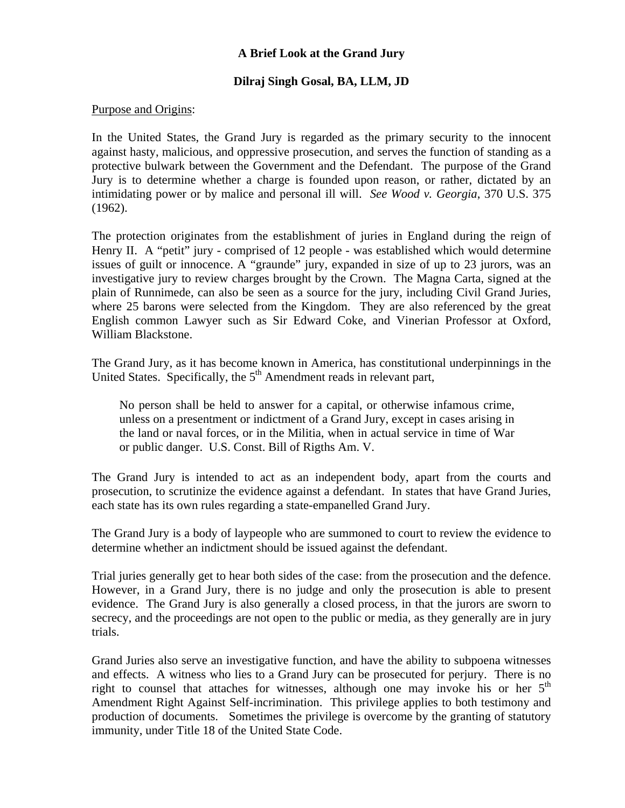# **A Brief Look at the Grand Jury**

# **Dilraj Singh Gosal, BA, LLM, JD**

### Purpose and Origins:

In the United States, the Grand Jury is regarded as the primary security to the innocent against hasty, malicious, and oppressive prosecution, and serves the function of standing as a protective bulwark between the Government and the Defendant. The purpose of the Grand Jury is to determine whether a charge is founded upon reason, or rather, dictated by an intimidating power or by malice and personal ill will. *See Wood v. Georgia*, 370 U.S. 375 (1962).

The protection originates from the establishment of juries in England during the reign of Henry II. A "petit" jury - comprised of 12 people - was established which would determine issues of guilt or innocence. A "graunde" jury, expanded in size of up to 23 jurors, was an investigative jury to review charges brought by the Crown. The Magna Carta, signed at the plain of Runnimede, can also be seen as a source for the jury, including Civil Grand Juries, where 25 barons were selected from the Kingdom. They are also referenced by the great English common Lawyer such as Sir Edward Coke, and Vinerian Professor at Oxford, William Blackstone.

The Grand Jury, as it has become known in America, has constitutional underpinnings in the United States. Specifically, the  $5<sup>th</sup>$  Amendment reads in relevant part,

No person shall be held to answer for a capital, or otherwise infamous crime, unless on a presentment or indictment of a Grand Jury, except in cases arising in the land or naval forces, or in the Militia, when in actual service in time of War or public danger. U.S. Const. Bill of Rigths Am. V.

The Grand Jury is intended to act as an independent body, apart from the courts and prosecution, to scrutinize the evidence against a defendant. In states that have Grand Juries, each state has its own rules regarding a state-empanelled Grand Jury.

The Grand Jury is a body of laypeople who are summoned to court to review the evidence to determine whether an indictment should be issued against the defendant.

Trial juries generally get to hear both sides of the case: from the prosecution and the defence. However, in a Grand Jury, there is no judge and only the prosecution is able to present evidence. The Grand Jury is also generally a closed process, in that the jurors are sworn to secrecy, and the proceedings are not open to the public or media, as they generally are in jury trials.

Grand Juries also serve an investigative function, and have the ability to subpoena witnesses and effects. A witness who lies to a Grand Jury can be prosecuted for perjury. There is no right to counsel that attaches for witnesses, although one may invoke his or her  $5<sup>th</sup>$ Amendment Right Against Self-incrimination. This privilege applies to both testimony and production of documents. Sometimes the privilege is overcome by the granting of statutory immunity, under Title 18 of the United State Code.